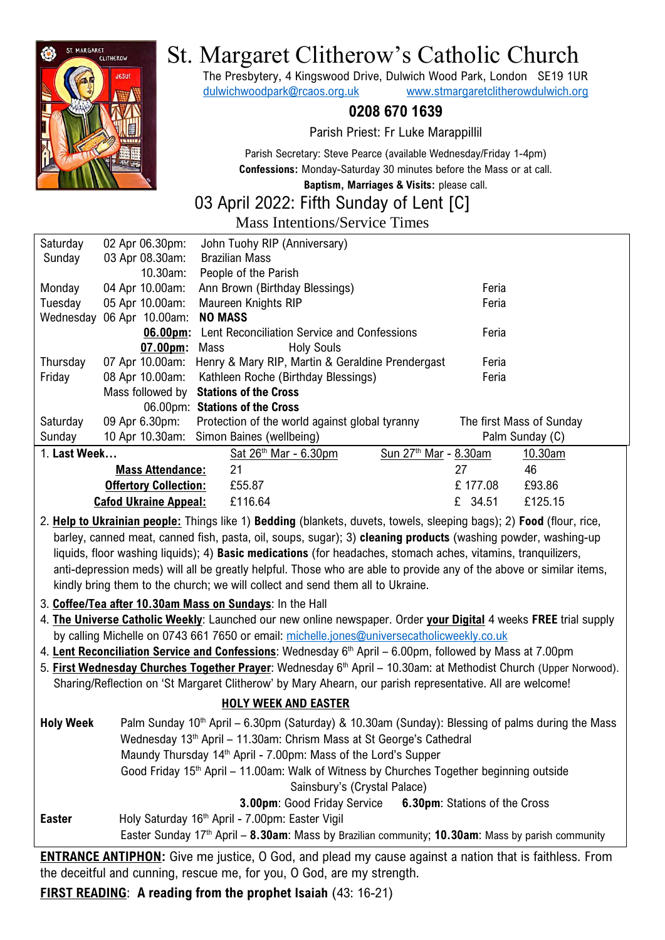

# St. Margaret Clitherow's Catholic Church

The Presbytery, 4 Kingswood Drive, Dulwich Wood Park, London SE19 1UR [dulwichwoodpark@rcaos.org.uk](mailto:dulwichwoodpark@rcaos.org.uk) [www.stmargaretclitherowdulwich.org](http://www.stmargaretclitherowdulwich.org/)

# **0208 670 1639**

Parish Priest: Fr Luke Marappillil

Parish Secretary: Steve Pearce (available Wednesday/Friday 1-4pm) **Confessions:** Monday-Saturday 30 minutes before the Mass or at call.

**Baptism, Marriages & Visits:** please call.

# 03 April 2022: Fifth Sunday of Lent [C]

Mass Intentions/Service Times

| Saturday     | 02 Apr 06.30pm:              | John Tuohy RIP (Anniversary)                                     |                          |
|--------------|------------------------------|------------------------------------------------------------------|--------------------------|
| Sunday       | 03 Apr 08.30am:              | <b>Brazilian Mass</b>                                            |                          |
|              | 10.30am:                     | People of the Parish                                             |                          |
| Monday       | 04 Apr 10.00am:              | Ann Brown (Birthday Blessings)                                   | Feria                    |
| Tuesday      | 05 Apr 10.00am:              | Maureen Knights RIP                                              | Feria                    |
| Wednesday    | 06 Apr 10.00am:              | <b>NO MASS</b>                                                   |                          |
|              | $06.00pm$ :                  | Lent Reconciliation Service and Confessions                      | Feria                    |
|              | $07.00pm$ :                  | Mass<br><b>Holy Souls</b>                                        |                          |
| Thursday     |                              | 07 Apr 10.00am: Henry & Mary RIP, Martin & Geraldine Prendergast | Feria                    |
| Friday       | 08 Apr 10.00am:              | Kathleen Roche (Birthday Blessings)                              | Feria                    |
|              | Mass followed by             | <b>Stations of the Cross</b>                                     |                          |
|              |                              | 06.00pm: Stations of the Cross                                   |                          |
| Saturday     | 09 Apr 6.30pm:               | Protection of the world against global tyranny                   | The first Mass of Sunday |
| Sunday       |                              | 10 Apr 10.30am: Simon Baines (wellbeing)                         | Palm Sunday (C)          |
| 1. Last Week |                              | Sun 27 <sup>th</sup> Mar - 8.30am<br>Sat $26th$ Mar - 6.30pm     | 10.30am                  |
|              | <b>Mass Attendance:</b>      | 21<br>27                                                         | 46                       |
|              | <b>Offertory Collection:</b> | £55.87                                                           | £177.08<br>£93.86        |
|              | <b>Cafod Ukraine Appeal:</b> | £116.64                                                          | £ 34.51<br>£125.15       |

2. **Help to Ukrainian people:** Things like 1) **Bedding** (blankets, duvets, towels, sleeping bags); 2) **Food** (flour, rice, barley, canned meat, canned fish, pasta, oil, soups, sugar); 3) **cleaning products** (washing powder, washing-up liquids, floor washing liquids); 4) **Basic medications** (for headaches, stomach aches, vitamins, tranquilizers, anti-depression meds) will all be greatly helpful. Those who are able to provide any of the above or similar items, kindly bring them to the church; we will collect and send them all to Ukraine.

3. **Coffee/Tea after 10.30am Mass on Sundays**: In the Hall

- 4. **The Universe Catholic Weekly**: Launched our new online newspaper. Order **your Digital** 4 weeks **FREE** trial supply by calling Michelle on 0743 661 7650 or email: [michelle.jones@universecatholicweekly.co.uk](mailto:michelle.jones@universecatholicweekly.co.uk)
- 4. **Lent Reconciliation Service and Confessions**: Wednesday 6 th April 6.00pm, followed by Mass at 7.00pm
- 5. First Wednesday Churches Together Prayer: Wednesday 6<sup>th</sup> April 10.30am: at Methodist Church (Upper Norwood). Sharing/Reflection on 'St Margaret Clitherow' by Mary Ahearn, our parish representative. All are welcome!

# **HOLY WEEK AND EASTER**

| <b>Holy Week</b> | Palm Sunday 10 <sup>th</sup> April – 6.30pm (Saturday) & 10.30am (Sunday): Blessing of palms during the Mass  |  |  |  |  |
|------------------|---------------------------------------------------------------------------------------------------------------|--|--|--|--|
|                  | Wednesday 13 <sup>th</sup> April - 11.30am: Chrism Mass at St George's Cathedral                              |  |  |  |  |
|                  | Maundy Thursday 14th April - 7.00pm: Mass of the Lord's Supper                                                |  |  |  |  |
|                  | Good Friday 15 <sup>th</sup> April – 11.00am: Walk of Witness by Churches Together beginning outside          |  |  |  |  |
|                  | Sainsbury's (Crystal Palace)                                                                                  |  |  |  |  |
|                  | <b>3.00pm:</b> Good Friday Service 6.30pm: Stations of the Cross                                              |  |  |  |  |
| <b>Easter</b>    | Holy Saturday 16th April - 7.00pm: Easter Vigil                                                               |  |  |  |  |
|                  | Easter Sunday 17 <sup>th</sup> April - 8.30am: Mass by Brazilian community; 10.30am: Mass by parish community |  |  |  |  |

**ENTRANCE ANTIPHON:** Give me justice, O God, and plead my cause against a nation that is faithless. From the deceitful and cunning, rescue me, for you, O God, are my strength.

**FIRST READING**: **A reading from the prophet Isaiah** (43: 16-21)